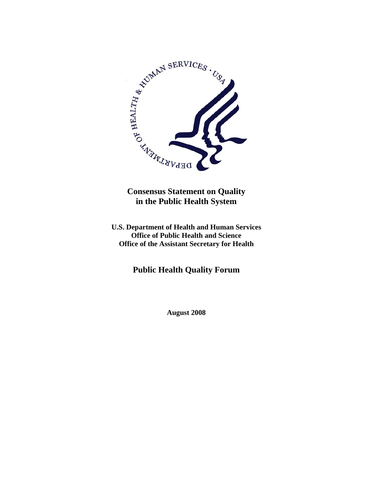

**Consensus Statement on Quality in the Public Health System** 

**U.S. Department of Health and Human Services Office of Public Health and Science Office of the Assistant Secretary for Health** 

**Public Health Quality Forum** 

**August 2008**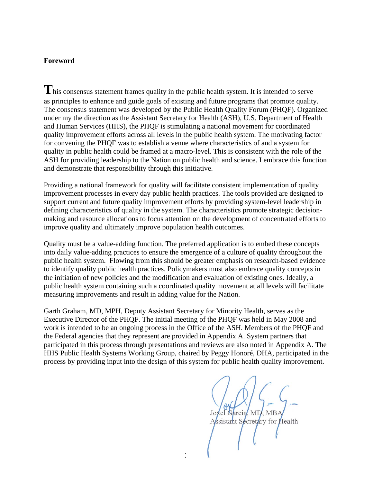#### **Foreword**

This consensus statement frames quality in the public health system. It is intended to serve as principles to enhance and guide goals of existing and future programs that promote quality. The consensus statement was developed by the Public Health Quality Forum (PHQF). Organized under my the direction as the Assistant Secretary for Health (ASH), U.S. Department of Health and Human Services (HHS), the PHQF is stimulating a national movement for coordinated quality improvement efforts across all levels in the public health system. The motivating factor for convening the PHQF was to establish a venue where characteristics of and a system for quality in public health could be framed at a macro-level. This is consistent with the role of the ASH for providing leadership to the Nation on public health and science. I embrace this function and demonstrate that responsibility through this initiative.

Providing a national framework for quality will facilitate consistent implementation of quality improvement processes in every day public health practices. The tools provided are designed to support current and future quality improvement efforts by providing system-level leadership in defining characteristics of quality in the system. The characteristics promote strategic decisionmaking and resource allocations to focus attention on the development of concentrated efforts to improve quality and ultimately improve population health outcomes.

Quality must be a value-adding function. The preferred application is to embed these concepts into daily value-adding practices to ensure the emergence of a culture of quality throughout the public health system. Flowing from this should be greater emphasis on research-based evidence to identify quality public health practices. Policymakers must also embrace quality concepts in the initiation of new policies and the modification and evaluation of existing ones. Ideally, a public health system containing such a coordinated quality movement at all levels will facilitate measuring improvements and result in adding value for the Nation.

Garth Graham, MD, MPH, Deputy Assistant Secretary for Minority Health, serves as the Executive Director of the PHQF. The initial meeting of the PHQF was held in May 2008 and work is intended to be an ongoing process in the Office of the ASH. Members of the PHQF and the Federal agencies that they represent are provided in Appendix A. System partners that participated in this process through presentations and reviews are also noted in Appendix A. The HHS Public Health Systems Working Group, chaired by Peggy Honoré, DHA, participated in the process by providing input into the design of this system for public health quality improvement.

Garcia, MI ssistant Secretary for Health  $2<sup>2</sup>$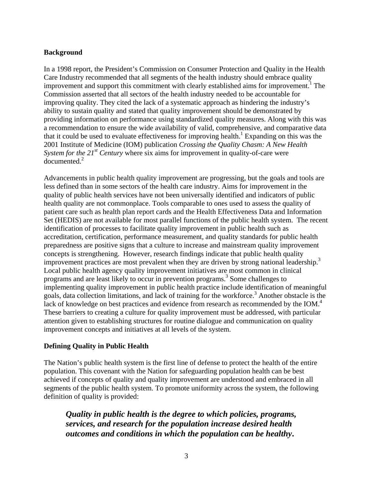## **Background**

In a 1998 report, the President's Commission on Consumer Protection and Quality in the Health Care Industry recommended that all segments of the health industry should embrace quality improvement and support this commitment with clearly established aims for improvement.<sup>1</sup> The Commission asserted that all sectors of the health industry needed to be accountable for improving quality. They cited the lack of a systematic approach as hindering the industry's ability to sustain quality and stated that quality improvement should be demonstrated by providing information on performance using standardized quality measures. Along with this was a recommendation to ensure the wide availability of valid, comprehensive, and comparative data that it could be used to evaluate effectiveness for improving health.<sup>1</sup> Expanding on this was the 2001 Institute of Medicine (IOM) publication *Crossing the Quality Chasm: A New Health System for the 21<sup>st</sup> Century* where six aims for improvement in quality-of-care were documented.<sup>2</sup>

Advancements in public health quality improvement are progressing, but the goals and tools are less defined than in some sectors of the health care industry. Aims for improvement in the quality of public health services have not been universally identified and indicators of public health quality are not commonplace. Tools comparable to ones used to assess the quality of patient care such as health plan report cards and the Health Effectiveness Data and Information Set (HEDIS) are not available for most parallel functions of the public health system. The recent identification of processes to facilitate quality improvement in public health such as accreditation, certification, performance measurement, and quality standards for public health preparedness are positive signs that a culture to increase and mainstream quality improvement concepts is strengthening. However, research findings indicate that public health quality improvement practices are most prevalent when they are driven by strong national leadership.<sup>3</sup> Local public health agency quality improvement initiatives are most common in clinical programs and are least likely to occur in prevention programs.<sup>3</sup> Some challenges to implementing quality improvement in public health practice include identification of meaningful goals, data collection limitations, and lack of training for the workforce.<sup>3</sup> Another obstacle is the lack of knowledge on best practices and evidence from research as recommended by the IOM.<sup>4</sup> These barriers to creating a culture for quality improvement must be addressed, with particular attention given to establishing structures for routine dialogue and communication on quality improvement concepts and initiatives at all levels of the system.

## **Defining Quality in Public Health**

The Nation's public health system is the first line of defense to protect the health of the entire population. This covenant with the Nation for safeguarding population health can be best achieved if concepts of quality and quality improvement are understood and embraced in all segments of the public health system. To promote uniformity across the system, the following definition of quality is provided:

*Quality in public health is the degree to which policies, programs, services, and research for the population increase desired health outcomes and conditions in which the population can be healthy***.**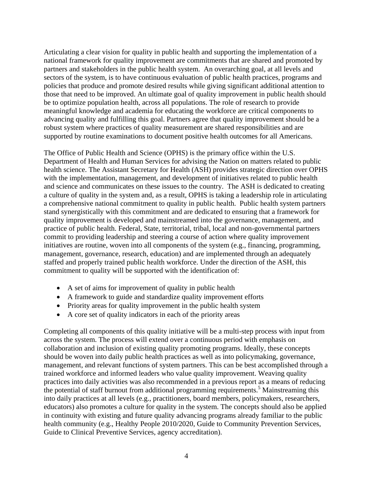Articulating a clear vision for quality in public health and supporting the implementation of a national framework for quality improvement are commitments that are shared and promoted by partners and stakeholders in the public health system. An overarching goal, at all levels and sectors of the system, is to have continuous evaluation of public health practices, programs and policies that produce and promote desired results while giving significant additional attention to those that need to be improved. An ultimate goal of quality improvement in public health should be to optimize population health, across all populations. The role of research to provide meaningful knowledge and academia for educating the workforce are critical components to advancing quality and fulfilling this goal. Partners agree that quality improvement should be a robust system where practices of quality measurement are shared responsibilities and are supported by routine examinations to document positive health outcomes for all Americans.

The Office of Public Health and Science (OPHS) is the primary office within the U.S. Department of Health and Human Services for advising the Nation on matters related to public health science. The Assistant Secretary for Health (ASH) provides strategic direction over OPHS with the implementation, management, and development of initiatives related to public health and science and communicates on these issues to the country. The ASH is dedicated to creating a culture of quality in the system and, as a result, OPHS is taking a leadership role in articulating a comprehensive national commitment to quality in public health. Public health system partners stand synergistically with this commitment and are dedicated to ensuring that a framework for quality improvement is developed and mainstreamed into the governance, management, and practice of public health. Federal, State, territorial, tribal, local and non-governmental partners commit to providing leadership and steering a course of action where quality improvement initiatives are routine, woven into all components of the system (e.g., financing, programming, management, governance, research, education) and are implemented through an adequately staffed and properly trained public health workforce. Under the direction of the ASH, this commitment to quality will be supported with the identification of:

- A set of aims for improvement of quality in public health
- A framework to guide and standardize quality improvement efforts
- Priority areas for quality improvement in the public health system
- A core set of quality indicators in each of the priority areas

Completing all components of this quality initiative will be a multi-step process with input from across the system. The process will extend over a continuous period with emphasis on collaboration and inclusion of existing quality promoting programs. Ideally, these concepts should be woven into daily public health practices as well as into policymaking, governance, management, and relevant functions of system partners. This can be best accomplished through a trained workforce and informed leaders who value quality improvement. Weaving quality practices into daily activities was also recommended in a previous report as a means of reducing the potential of staff burnout from additional programming requirements.<sup>5</sup> Mainstreaming this into daily practices at all levels (e.g., practitioners, board members, policymakers, researchers, educators) also promotes a culture for quality in the system. The concepts should also be applied in continuity with existing and future quality advancing programs already familiar to the public health community (e.g., Healthy People 2010/2020, Guide to Community Prevention Services, Guide to Clinical Preventive Services, agency accreditation).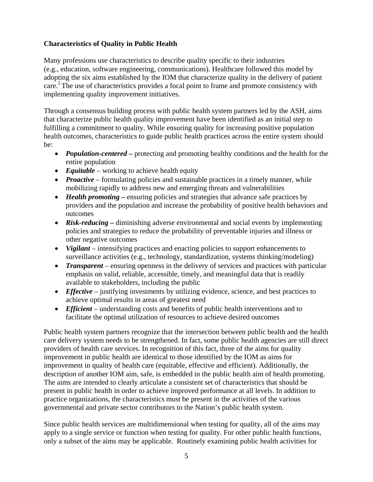# **Characteristics of Quality in Public Health**

Many professions use characteristics to describe quality specific to their industries (e.g., education, software engineering, communications). Healthcare followed this model by adopting the six aims established by the IOM that characterize quality in the delivery of patient care.<sup>2</sup> The use of characteristics provides a focal point to frame and promote consistency with implementing quality improvement initiatives.

Through a consensus building process with public health system partners led by the ASH, aims that characterize public health quality improvement have been identified as an initial step to fulfilling a commitment to quality. While ensuring quality for increasing positive population health outcomes, characteristics to guide public health practices across the entire system should be:

- *Population-centered* protecting and promoting healthy conditions and the health for the entire population
- *Equitable* working to achieve health equity
- *Proactive* formulating policies and sustainable practices in a timely manner, while mobilizing rapidly to address new and emerging threats and vulnerabilities
- *Health promoting* ensuring policies and strategies that advance safe practices by providers and the population and increase the probability of positive health behaviors and outcomes
- *Risk-reducing* diminishing adverse environmental and social events by implementing policies and strategies to reduce the probability of preventable injuries and illness or other negative outcomes
- *Vigilant* intensifying practices and enacting policies to support enhancements to surveillance activities (e.g., technology, standardization, systems thinking/modeling)
- *Transparent* ensuring openness in the delivery of services and practices with particular emphasis on valid, reliable, accessible, timely, and meaningful data that is readily available to stakeholders, including the public
- *Effective* justifying investments by utilizing evidence, science, and best practices to achieve optimal results in areas of greatest need
- *Efficient* understanding costs and benefits of public health interventions and to facilitate the optimal utilization of resources to achieve desired outcomes

Public health system partners recognize that the intersection between public health and the health care delivery system needs to be strengthened. In fact, some public health agencies are still direct providers of health care services. In recognition of this fact, three of the aims for quality improvement in public health are identical to those identified by the IOM as aims for improvement in quality of health care (equitable, effective and efficient). Additionally, the description of another IOM aim, safe, is embedded in the public health aim of health promoting. The aims are intended to clearly articulate a consistent set of characteristics that should be present in public health in order to achieve improved performance at all levels. In addition to practice organizations, the characteristics must be present in the activities of the various governmental and private sector contributors to the Nation's public health system.

Since public health services are multidimensional when testing for quality, all of the aims may apply to a single service or function when testing for quality. For other public health functions, only a subset of the aims may be applicable. Routinely examining public health activities for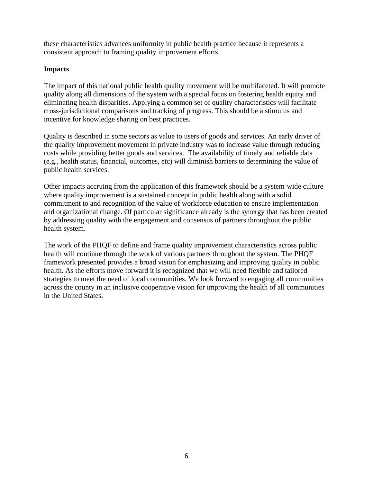these characteristics advances uniformity in public health practice because it represents a consistent approach to framing quality improvement efforts.

## **Impacts**

The impact of this national public health quality movement will be multifaceted. It will promote quality along all dimensions of the system with a special focus on fostering health equity and eliminating health disparities. Applying a common set of quality characteristics will facilitate cross-jurisdictional comparisons and tracking of progress. This should be a stimulus and incentive for knowledge sharing on best practices.

Quality is described in some sectors as value to users of goods and services. An early driver of the quality improvement movement in private industry was to increase value through reducing costs while providing better goods and services. The availability of timely and reliable data (e.g., health status, financial, outcomes, etc) will diminish barriers to determining the value of public health services.

Other impacts accruing from the application of this framework should be a system-wide culture where quality improvement is a sustained concept in public health along with a solid commitment to and recognition of the value of workforce education to ensure implementation and organizational change. Of particular significance already is the synergy that has been created by addressing quality with the engagement and consensus of partners throughout the public health system.

The work of the PHQF to define and frame quality improvement characteristics across public health will continue through the work of various partners throughout the system. The PHQF framework presented provides a broad vision for emphasizing and improving quality in public health. As the efforts move forward it is recognized that we will need flexible and tailored strategies to meet the need of local communities. We look forward to engaging all communities across the county in an inclusive cooperative vision for improving the health of all communities in the United States.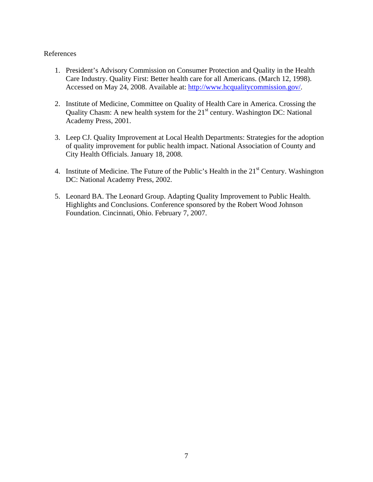### References

- 1. President's Advisory Commission on Consumer Protection and Quality in the Health Care Industry. Quality First: Better health care for all Americans. (March 12, 1998). Accessed on May 24, 2008. Available at: [http://www.hcqualitycommission.gov/.](http://www.hcqualitycommission.gov/)
- 2. Institute of Medicine, Committee on Quality of Health Care in America. Crossing the Quality Chasm: A new health system for the  $21<sup>st</sup>$  century. Washington DC: National Academy Press, 2001.
- 3. Leep CJ. Quality Improvement at Local Health Departments: Strategies for the adoption of quality improvement for public health impact. National Association of County and City Health Officials. January 18, 2008.
- 4. Institute of Medicine. The Future of the Public's Health in the  $21<sup>st</sup>$  Century. Washington DC: National Academy Press, 2002.
- 5. Leonard BA. The Leonard Group. Adapting Quality Improvement to Public Health. Highlights and Conclusions. Conference sponsored by the Robert Wood Johnson Foundation. Cincinnati, Ohio. February 7, 2007.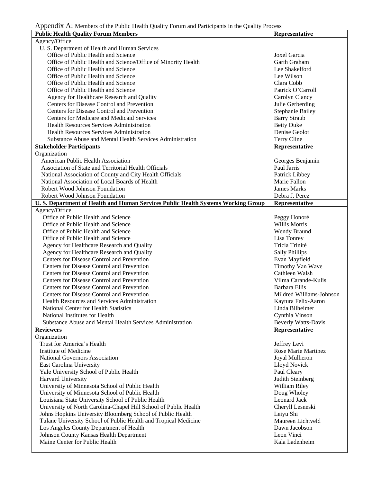| Teppendix TV. Members of the Fubile Ficalin Quality Forum and Famelpants in the Quality Frocess<br><b>Public Health Quality Forum Members</b> | Representative                  |
|-----------------------------------------------------------------------------------------------------------------------------------------------|---------------------------------|
| Agency/Office                                                                                                                                 |                                 |
| U. S. Department of Health and Human Services                                                                                                 |                                 |
| Office of Public Health and Science                                                                                                           | Joxel Garcia                    |
| Office of Public Health and Science/Office of Minority Health                                                                                 | Garth Graham                    |
| Office of Public Health and Science                                                                                                           | Lee Shakelford                  |
| Office of Public Health and Science                                                                                                           | Lee Wilson                      |
| Office of Public Health and Science                                                                                                           | Clara Cobb                      |
| Office of Public Health and Science                                                                                                           | Patrick O'Carroll               |
| Agency for Healthcare Research and Quality                                                                                                    | Carolyn Clancy                  |
| Centers for Disease Control and Prevention                                                                                                    | Julie Gerberding                |
| Centers for Disease Control and Prevention                                                                                                    | <b>Stephanie Bailey</b>         |
| Centers for Medicare and Medicaid Services                                                                                                    | <b>Barry Straub</b>             |
| <b>Health Resources Services Administration</b>                                                                                               | <b>Betty Duke</b>               |
| <b>Health Resources Services Administration</b>                                                                                               | Denise Geolot                   |
| Substance Abuse and Mental Health Services Administration                                                                                     | Terry Cline                     |
|                                                                                                                                               | Representative                  |
| <b>Stakeholder Participants</b>                                                                                                               |                                 |
| Organization<br>American Public Health Association                                                                                            |                                 |
| Association of State and Territorial Health Officials                                                                                         | Georges Benjamin<br>Paul Jarris |
|                                                                                                                                               |                                 |
| National Association of County and City Health Officials                                                                                      | Patrick Libbey                  |
| National Association of Local Boards of Health                                                                                                | Marie Fallon                    |
| Robert Wood Johnson Foundation                                                                                                                | <b>James Marks</b>              |
| Robert Wood Johnson Foundation                                                                                                                | Debra J. Perez                  |
| U.S. Department of Health and Human Services Public Health Systems Working Group                                                              | Representative                  |
| Agency/Office                                                                                                                                 |                                 |
| Office of Public Health and Science                                                                                                           | Peggy Honoré                    |
| Office of Public Health and Science                                                                                                           | <b>Willis Morris</b>            |
| Office of Public Health and Science                                                                                                           | Wendy Braund                    |
| Office of Public Health and Science                                                                                                           | Lisa Tonrey                     |
| Agency for Healthcare Research and Quality                                                                                                    | Tricia Trinité                  |
| Agency for Healthcare Research and Quality                                                                                                    | <b>Sally Phillips</b>           |
| Centers for Disease Control and Prevention                                                                                                    | Evan Mayfield                   |
| Centers for Disease Control and Prevention                                                                                                    | Timothy Van Wave                |
| Centers for Disease Control and Prevention                                                                                                    | Cathleen Walsh                  |
| Centers for Disease Control and Prevention                                                                                                    | Vilma Carande-Kulis             |
| Centers for Disease Control and Prevention                                                                                                    | Barbara Ellis                   |
| Centers for Disease Control and Prevention                                                                                                    | Mildred Williams-Johnson        |
| Health Resources and Services Administration                                                                                                  | Kaytura Felix-Aaron             |
| National Center for Health Statistics                                                                                                         | Linda Bilheimer                 |
| National Institutes for Health                                                                                                                | Cynthia Vinson                  |
| Substance Abuse and Mental Health Services Administration                                                                                     | <b>Beverly Watts-Davis</b>      |
| <b>Reviewers</b>                                                                                                                              | Representative                  |
| Organization                                                                                                                                  |                                 |
| Trust for America's Health                                                                                                                    | Jeffrey Levi                    |
| Institute of Medicine                                                                                                                         | Rose Marie Martinez             |
| National Governors Association                                                                                                                | Joyal Mulheron                  |
| <b>East Carolina University</b>                                                                                                               | Lloyd Novick                    |
| Yale University School of Public Health                                                                                                       | Paul Cleary                     |
| Harvard University                                                                                                                            | Judith Steinberg                |
| University of Minnesota School of Public Health                                                                                               | William Riley                   |
| University of Minnesota School of Public Health                                                                                               | Doug Wholey                     |
| Louisiana State University School of Public Health                                                                                            | Leonard Jack                    |
| University of North Carolina-Chapel Hill School of Public Health                                                                              | Cheryll Lesneski                |
| Johns Hopkins University Bloomberg School of Public Health                                                                                    | Leiyu Shi                       |
| Tulane University School of Public Health and Tropical Medicine                                                                               | Maureen Lichtveld               |
| Los Angeles County Department of Health                                                                                                       | Dawn Jacobson                   |
| Johnson County Kansas Health Department                                                                                                       | Leon Vinci                      |
| Maine Center for Public Health                                                                                                                | Kala Ladenheim                  |
|                                                                                                                                               |                                 |